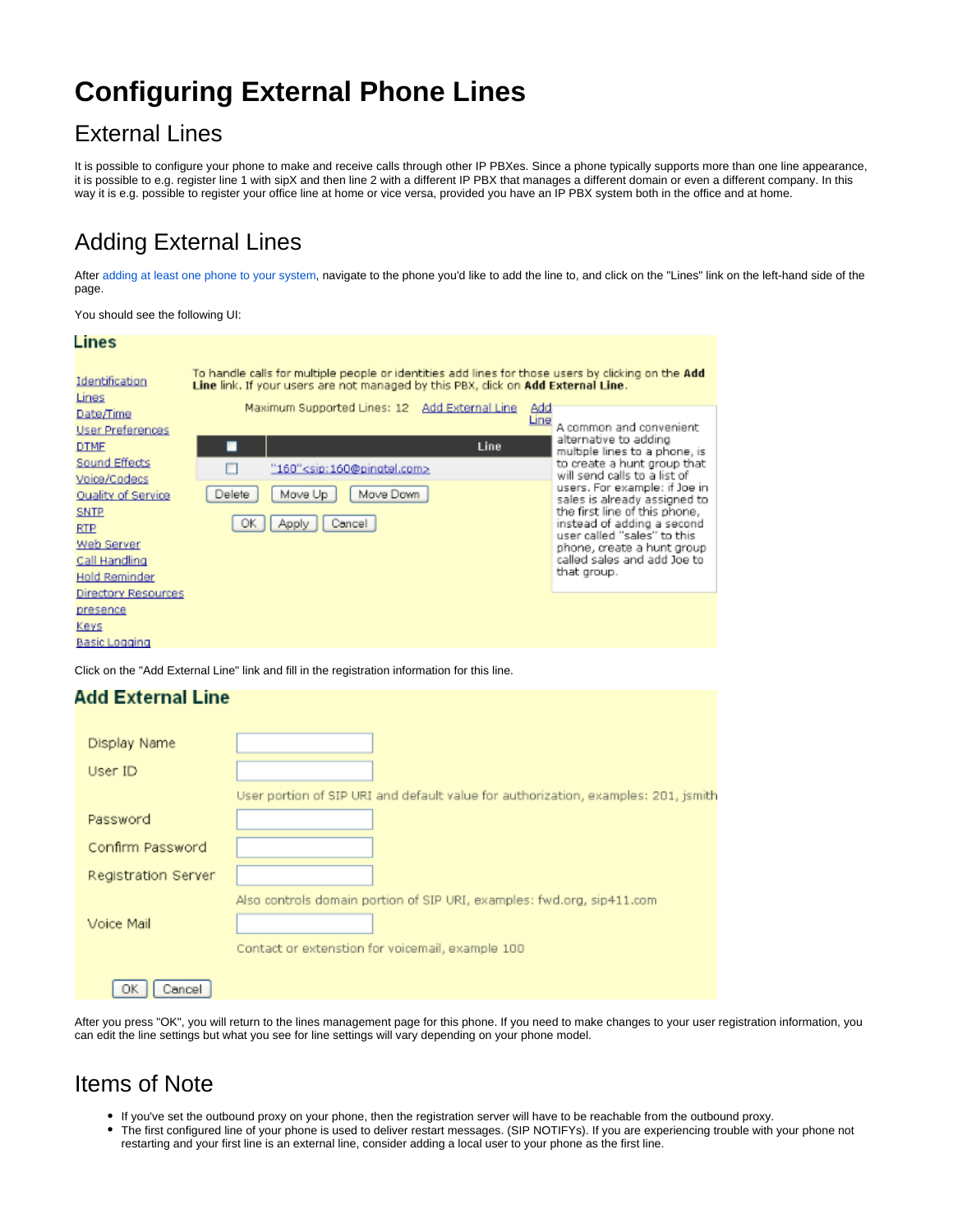# **Configuring External Phone Lines**

### External Lines

It is possible to configure your phone to make and receive calls through other IP PBXes. Since a phone typically supports more than one line appearance, it is possible to e.g. register line 1 with sipX and then line 2 with a different IP PBX that manages a different domain or even a different company. In this way it is e.g. possible to register your office line at home or vice versa, provided you have an IP PBX system both in the office and at home.

## Adding External Lines

After [adding at least one phone to your system](https://wiki.ezuce.com/display/sipXcom/Introduction+to+Configuring+Phones), navigate to the phone you'd like to add the line to, and click on the "Lines" link on the left-hand side of the page.

You should see the following UI:

#### Lines To handle calls for multiple people or identities add lines for those users by clicking on the Add Identification Line link. If your users are not managed by this PBX, click on Add External Line. Lines Maximum Supported Lines: 12 Add External Line Add Date/Time <u>Line</u> A common and convenient User Preferences alternative to adding **DTME** ▬ Line multiple lines to a phone, is Sound Effects to create a hunt group that  $\Box$ "160"<sip:160@pingtel.com> will send calls to a list of Voice/Codecs users. For example: if Joe in Delete Move Up Move Down **Quality of Service** sales is already assigned to **SNTP** the first line of this phone, OK instead of adding a second<br>user called "sales" to this Apply Cancel **RTP Web Server** phone, create a hunt group called sales and add Joe to Call Handling that group. **Hold Reminder** Directory Resources presence Keys **Basic Logging**

Click on the "Add External Line" link and fill in the registration information for this line.

### **Add External Line**

| Display Name        |                                                                                    |
|---------------------|------------------------------------------------------------------------------------|
| User ID             |                                                                                    |
|                     | User portion of SIP URI and default value for authorization, examples: 201, jsmith |
| Password            |                                                                                    |
| Confirm Password    |                                                                                    |
| Registration Server |                                                                                    |
|                     | Also controls domain portion of SIP URI, examples: fwd.org, sip411.com             |
| Voice Mail          |                                                                                    |
|                     | Contact or extenstion for voicemail, example 100                                   |
| OK<br>Cancel        |                                                                                    |

After you press "OK", you will return to the lines management page for this phone. If you need to make changes to your user registration information, you can edit the line settings but what you see for line settings will vary depending on your phone model.

### Items of Note

- If you've set the outbound proxy on your phone, then the registration server will have to be reachable from the outbound proxy.
- The first configured line of your phone is used to deliver restart messages. (SIP NOTIFYs). If you are experiencing trouble with your phone not restarting and your first line is an external line, consider adding a local user to your phone as the first line.